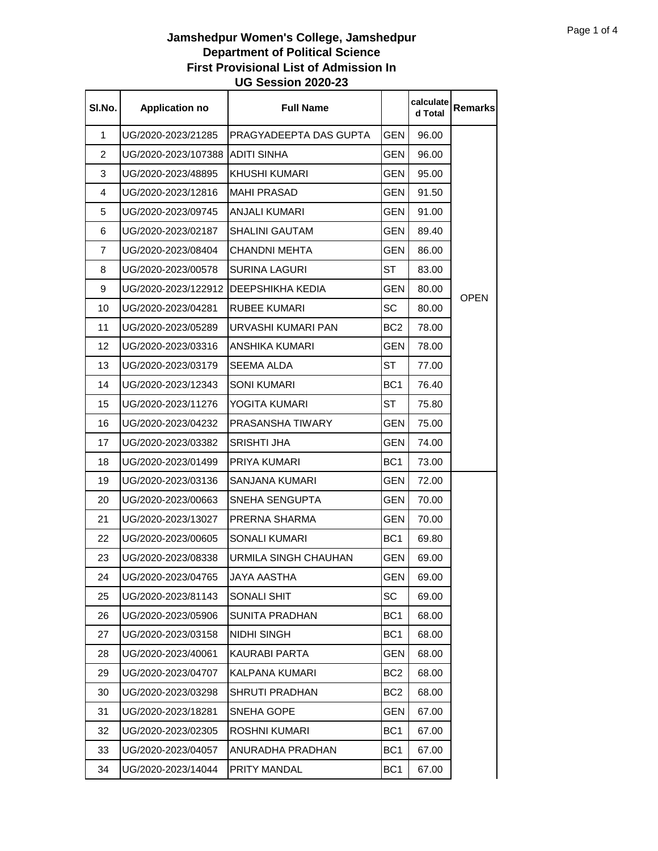| SI.No.         | <b>Application no</b> | <b>Full Name</b>       |                 | calculate<br>d Total | <b>Remarks</b> |
|----------------|-----------------------|------------------------|-----------------|----------------------|----------------|
| $\mathbf 1$    | UG/2020-2023/21285    | PRAGYADEEPTA DAS GUPTA | <b>GEN</b>      | 96.00                |                |
| $\overline{2}$ | UG/2020-2023/107388   | <b>ADITI SINHA</b>     | <b>GEN</b>      | 96.00                |                |
| 3              | UG/2020-2023/48895    | KHUSHI KUMARI          | GEN             | 95.00                |                |
| $\overline{4}$ | UG/2020-2023/12816    | <b>MAHI PRASAD</b>     | GEN             | 91.50                |                |
| 5              | UG/2020-2023/09745    | <b>ANJALI KUMARI</b>   | GEN             | 91.00                |                |
| 6              | UG/2020-2023/02187    | SHALINI GAUTAM         | GEN             | 89.40                |                |
| 7              | UG/2020-2023/08404    | <b>CHANDNI MEHTA</b>   | GEN             | 86.00                |                |
| 8              | UG/2020-2023/00578    | <b>SURINA LAGURI</b>   | ST              | 83.00                |                |
| 9              | UG/2020-2023/122912   | DEEPSHIKHA KEDIA       | <b>GEN</b>      | 80.00                |                |
| 10             | UG/2020-2023/04281    | RUBEE KUMARI           | SC              | 80.00                | <b>OPEN</b>    |
| 11             | UG/2020-2023/05289    | URVASHI KUMARI PAN     | BC <sub>2</sub> | 78.00                |                |
| 12             | UG/2020-2023/03316    | ANSHIKA KUMARI         | GEN             | 78.00                |                |
| 13             | UG/2020-2023/03179    | SEEMA ALDA             | <b>ST</b>       | 77.00                |                |
| 14             | UG/2020-2023/12343    | <b>SONI KUMARI</b>     | BC <sub>1</sub> | 76.40                |                |
| 15             | UG/2020-2023/11276    | YOGITA KUMARI          | ST              | 75.80                |                |
| 16             | UG/2020-2023/04232    | PRASANSHA TIWARY       | GEN             | 75.00                |                |
| 17             | UG/2020-2023/03382    | <b>SRISHTI JHA</b>     | GEN             | 74.00                |                |
| 18             | UG/2020-2023/01499    | PRIYA KUMARI           | BC <sub>1</sub> | 73.00                |                |
| 19             | UG/2020-2023/03136    | SANJANA KUMARI         | GEN             | 72.00                |                |
| 20             | UG/2020-2023/00663    | SNEHA SENGUPTA         | GEN             | 70.00                |                |
| 21             | UG/2020-2023/13027    | PRERNA SHARMA          | <b>GEN</b>      | 70.00                |                |
| 22             | UG/2020-2023/00605    | <b>SONALI KUMARI</b>   | BC <sub>1</sub> | 69.80                |                |
| 23             | UG/2020-2023/08338    | URMILA SINGH CHAUHAN   | GEN             | 69.00                |                |
| 24             | UG/2020-2023/04765    | <b>JAYA AASTHA</b>     | <b>GEN</b>      | 69.00                |                |
| 25             | UG/2020-2023/81143    | SONALI SHIT            | SC              | 69.00                |                |
| 26             | UG/2020-2023/05906    | <b>SUNITA PRADHAN</b>  | BC <sub>1</sub> | 68.00                |                |
| 27             | UG/2020-2023/03158    | NIDHI SINGH            | BC <sub>1</sub> | 68.00                |                |
| 28             | UG/2020-2023/40061    | KAURABI PARTA          | GEN             | 68.00                |                |
| 29             | UG/2020-2023/04707    | KALPANA KUMARI         | BC2             | 68.00                |                |
| 30             | UG/2020-2023/03298    | <b>SHRUTI PRADHAN</b>  | BC2             | 68.00                |                |
| 31             | UG/2020-2023/18281    | SNEHA GOPE             | GEN             | 67.00                |                |
| 32             | UG/2020-2023/02305    | <b>ROSHNI KUMARI</b>   | BC <sub>1</sub> | 67.00                |                |
| 33             | UG/2020-2023/04057    | ANURADHA PRADHAN       | BC1             | 67.00                |                |
| 34             | UG/2020-2023/14044    | PRITY MANDAL           | BC <sub>1</sub> | 67.00                |                |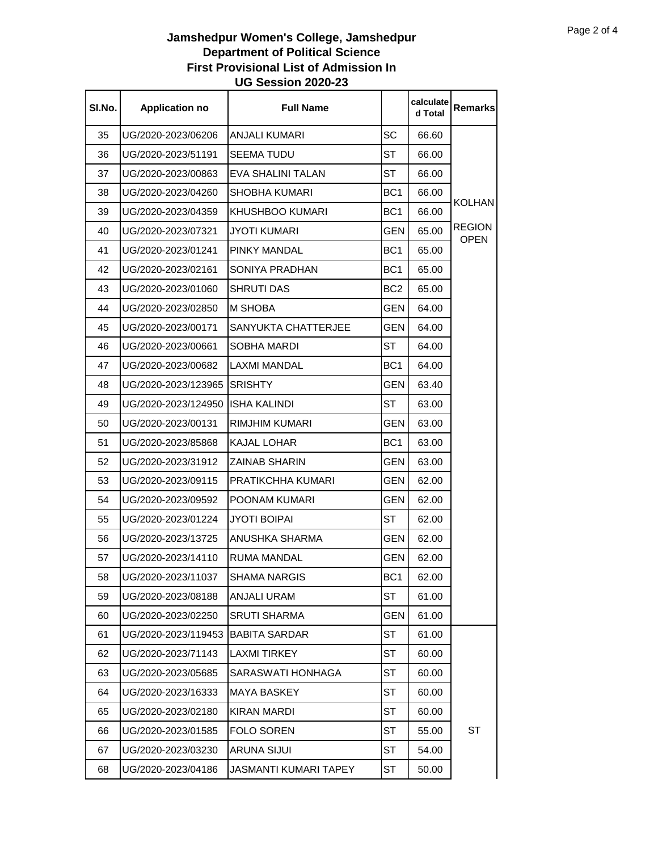| SI.No. | <b>Application no</b> | <b>Full Name</b>           |                 | calculate<br>d Total | Remarks                      |
|--------|-----------------------|----------------------------|-----------------|----------------------|------------------------------|
| 35     | UG/2020-2023/06206    | <b>ANJALI KUMARI</b>       | <b>SC</b>       | 66.60                |                              |
| 36     | UG/2020-2023/51191    | <b>SEEMA TUDU</b>          | <b>ST</b>       | 66.00                |                              |
| 37     | UG/2020-2023/00863    | EVA SHALINI TALAN          | <b>ST</b>       | 66.00                |                              |
| 38     | UG/2020-2023/04260    | <b>SHOBHA KUMARI</b>       | BC <sub>1</sub> | 66.00                |                              |
| 39     | UG/2020-2023/04359    | <b>KHUSHBOO KUMARI</b>     | BC <sub>1</sub> | 66.00                | KOLHAN                       |
| 40     | UG/2020-2023/07321    | JYOTI KUMARI               | <b>GEN</b>      | 65.00                | <b>REGION</b><br><b>OPEN</b> |
| 41     | UG/2020-2023/01241    | PINKY MANDAL               | BC <sub>1</sub> | 65.00                |                              |
| 42     | UG/2020-2023/02161    | SONIYA PRADHAN             | BC <sub>1</sub> | 65.00                |                              |
| 43     | UG/2020-2023/01060    | <b>SHRUTI DAS</b>          | BC <sub>2</sub> | 65.00                |                              |
| 44     | UG/2020-2023/02850    | <b>M SHOBA</b>             | <b>GEN</b>      | 64.00                |                              |
| 45     | UG/2020-2023/00171    | <b>SANYUKTA CHATTERJEE</b> | <b>GEN</b>      | 64.00                |                              |
| 46     | UG/2020-2023/00661    | SOBHA MARDI                | <b>ST</b>       | 64.00                |                              |
| 47     | UG/2020-2023/00682    | <b>LAXMI MANDAL</b>        | BC <sub>1</sub> | 64.00                |                              |
| 48     | UG/2020-2023/123965   | <b>SRISHTY</b>             | <b>GEN</b>      | 63.40                |                              |
| 49     | UG/2020-2023/124950 I | <b>ISHA KALINDI</b>        | <b>ST</b>       | 63.00                |                              |
| 50     | UG/2020-2023/00131    | RIMJHIM KUMARI             | <b>GEN</b>      | 63.00                |                              |
| 51     | UG/2020-2023/85868    | <b>KAJAL LOHAR</b>         | BC <sub>1</sub> | 63.00                |                              |
| 52     | UG/2020-2023/31912    | <b>ZAINAB SHARIN</b>       | <b>GEN</b>      | 63.00                |                              |
| 53     | UG/2020-2023/09115    | PRATIKCHHA KUMARI          | <b>GEN</b>      | 62.00                |                              |
| 54     | UG/2020-2023/09592    | POONAM KUMARI              | GEN             | 62.00                |                              |
| 55     | UG/2020-2023/01224    | <b>JYOTI BOIPAI</b>        | <b>ST</b>       | 62.00                |                              |
| 56     | UG/2020-2023/13725    | ANUSHKA SHARMA             | <b>GEN</b>      | 62.00                |                              |
| 57     | UG/2020-2023/14110    | <b>RUMA MANDAL</b>         | GEN             | 62.00                |                              |
| 58     | UG/2020-2023/11037    | <b>SHAMA NARGIS</b>        | BC <sub>1</sub> | 62.00                |                              |
| 59     | UG/2020-2023/08188    | ANJALI URAM                | <b>ST</b>       | 61.00                |                              |
| 60     | UG/2020-2023/02250    | <b>SRUTI SHARMA</b>        | <b>GEN</b>      | 61.00                |                              |
| 61     | UG/2020-2023/119453   | <b>BABITA SARDAR</b>       | <b>ST</b>       | 61.00                |                              |
| 62     | UG/2020-2023/71143    | <b>LAXMI TIRKEY</b>        | ST              | 60.00                |                              |
| 63     | UG/2020-2023/05685    | SARASWATI HONHAGA          | <b>ST</b>       | 60.00                |                              |
| 64     | UG/2020-2023/16333    | <b>MAYA BASKEY</b>         | ST              | 60.00                |                              |
| 65     | UG/2020-2023/02180    | <b>KIRAN MARDI</b>         | <b>ST</b>       | 60.00                |                              |
| 66     | UG/2020-2023/01585    | <b>FOLO SOREN</b>          | ST              | 55.00                | ST                           |
| 67     | UG/2020-2023/03230    | <b>ARUNA SIJUI</b>         | <b>ST</b>       | 54.00                |                              |
| 68     | UG/2020-2023/04186    | JASMANTI KUMARI TAPEY      | ST              | 50.00                |                              |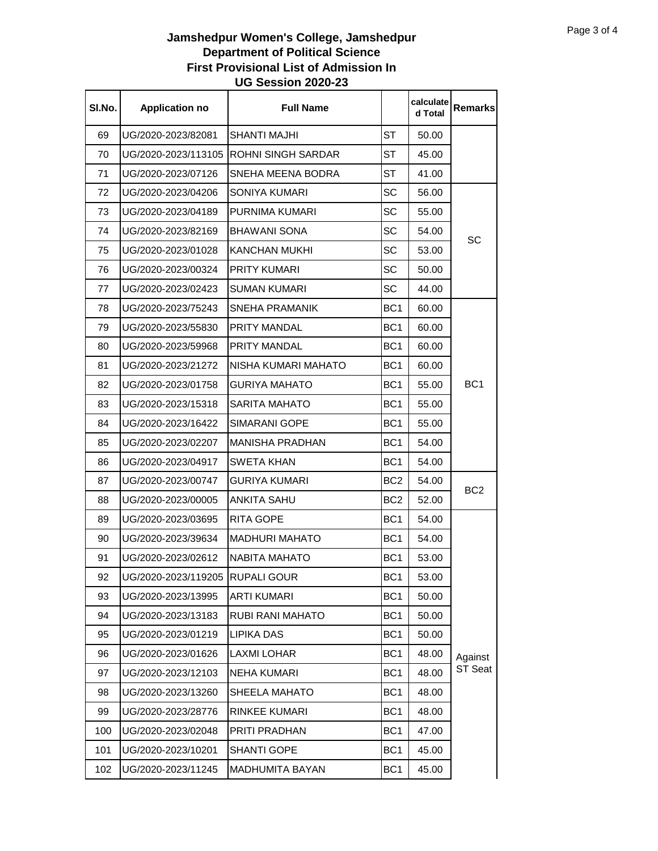| SI.No. | <b>Application no</b>            | <b>Full Name</b>          |                 | calculate<br>d Total | <b>Remarks</b>     |
|--------|----------------------------------|---------------------------|-----------------|----------------------|--------------------|
| 69     | UG/2020-2023/82081               | <b>SHANTI MAJHI</b>       | ST              | 50.00                |                    |
| 70     | UG/2020-2023/113105              | <b>ROHNI SINGH SARDAR</b> | ST              | 45.00                |                    |
| 71     | UG/2020-2023/07126               | SNEHA MEENA BODRA         | ST              | 41.00                |                    |
| 72     | UG/2020-2023/04206               | SONIYA KUMARI             | SC              | 56.00                |                    |
| 73     | UG/2020-2023/04189               | PURNIMA KUMARI            | SC              | 55.00                | SC                 |
| 74     | UG/2020-2023/82169               | <b>BHAWANI SONA</b>       | SC              | 54.00                |                    |
| 75     | UG/2020-2023/01028               | <b>KANCHAN MUKHI</b>      | SC              | 53.00                |                    |
| 76     | UG/2020-2023/00324               | <b>PRITY KUMARI</b>       | SC              | 50.00                |                    |
| 77     | UG/2020-2023/02423               | <b>SUMAN KUMARI</b>       | SC              | 44.00                |                    |
| 78     | UG/2020-2023/75243               | SNEHA PRAMANIK            | BC <sub>1</sub> | 60.00                |                    |
| 79     | UG/2020-2023/55830               | PRITY MANDAL              | BC <sub>1</sub> | 60.00                |                    |
| 80     | UG/2020-2023/59968               | <b>PRITY MANDAL</b>       | BC <sub>1</sub> | 60.00                |                    |
| 81     | UG/2020-2023/21272               | NISHA KUMARI MAHATO       | BC <sub>1</sub> | 60.00                |                    |
| 82     | UG/2020-2023/01758               | <b>GURIYA MAHATO</b>      | BC <sub>1</sub> | 55.00                | BC <sub>1</sub>    |
| 83     | UG/2020-2023/15318               | <b>SARITA MAHATO</b>      | BC <sub>1</sub> | 55.00                |                    |
| 84     | UG/2020-2023/16422               | <b>SIMARANI GOPE</b>      | BC <sub>1</sub> | 55.00                | BC <sub>2</sub>    |
| 85     | UG/2020-2023/02207               | <b>MANISHA PRADHAN</b>    | BC <sub>1</sub> | 54.00                |                    |
| 86     | UG/2020-2023/04917               | <b>SWETA KHAN</b>         | BC <sub>1</sub> | 54.00                |                    |
| 87     | UG/2020-2023/00747               | <b>GURIYA KUMARI</b>      | BC <sub>2</sub> | 54.00                |                    |
| 88     | UG/2020-2023/00005               | ANKITA SAHU               | BC <sub>2</sub> | 52.00                |                    |
| 89     | UG/2020-2023/03695               | <b>RITA GOPE</b>          | BC <sub>1</sub> | 54.00                |                    |
| 90     | UG/2020-2023/39634               | <b>MADHURI MAHATO</b>     | BC <sub>1</sub> | 54.00                |                    |
| 91     | UG/2020-2023/02612               | <b>NABITA MAHATO</b>      | BC <sub>1</sub> | 53.00                |                    |
| 92     | UG/2020-2023/119205  RUPALI GOUR |                           | BC <sub>1</sub> | 53.00                |                    |
| 93     | UG/2020-2023/13995               | <b>ARTI KUMARI</b>        | BC <sub>1</sub> | 50.00                |                    |
| 94     | UG/2020-2023/13183               | RUBI RANI MAHATO          | BC <sub>1</sub> | 50.00                |                    |
| 95     | UG/2020-2023/01219               | <b>LIPIKA DAS</b>         | BC <sub>1</sub> | 50.00                |                    |
| 96     | UG/2020-2023/01626               | <b>LAXMI LOHAR</b>        | BC <sub>1</sub> | 48.00                | Against<br>ST Seat |
| 97     | UG/2020-2023/12103               | <b>NEHA KUMARI</b>        | BC <sub>1</sub> | 48.00                |                    |
| 98     | UG/2020-2023/13260               | SHEELA MAHATO             | BC <sub>1</sub> | 48.00                |                    |
| 99     | UG/2020-2023/28776               | <b>RINKEE KUMARI</b>      | BC <sub>1</sub> | 48.00                |                    |
| 100    | UG/2020-2023/02048               | PRITI PRADHAN             | BC <sub>1</sub> | 47.00                |                    |
| 101    | UG/2020-2023/10201               | <b>SHANTI GOPE</b>        | BC <sub>1</sub> | 45.00                |                    |
| 102    | UG/2020-2023/11245               | MADHUMITA BAYAN           | BC <sub>1</sub> | 45.00                |                    |